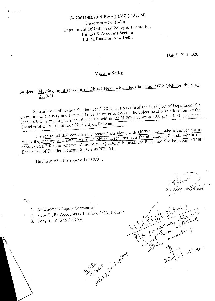# G- 20011/02/2019-B&A(Pt.VI) (P-39074)

### Government of India Department Of Industrial Policy & Promotion Budget & Accounts Section Udyog Bhawan, New Delhi

Dated: 21.1.2020

## **Meeting Notice**

### Subject: Meeting for discussion of Object Head wise allocation and MEP-VER for the vertical 2020-21

Scheme wise allocation for the year 2020-21 has been finalized in respect of Department for promotion of lndustry and lnternal Trade. In order to discuss the object head wise allocation for the promotion of measure  $\frac{1}{2}$  is scheduled to be held on 22.01.2020 between 3:00 pm  $\frac{1}{2}$  $\frac{\text{year}}{\text{year}}$   $\frac{1020 - 21 \text{ a frequency}}{10000 \text{ m}}$   $\frac{532 - 4 \text{ Ud} \text{yog}}{1000 \text{ g}}$ 

It is requested that concerned Director / DS along with US/SO may make it convenient to attend the meeting and authenticate the object heads involved for allocation of funds with the meeting and authenticate the object heads involved for approved SBE for the scheme. Monthly and Quarterly Expenditure Plan may also be submitted for finalization of Detailed Demand for Grants 2020-21,

33 May 2011

This issue with the approval of CCA.

-' Sr. AccountsjOffice<br>CLP JUS (PM)<br>VS CLP JUS Liquery

 $\frac{1}{\sqrt{n}}$ 

 $\mathbb{R}$  is plo

 $2^{\gamma\lambda}$ 

To,

 $i = 1$ ,  $i = 1$ 

- 1. All Director /Deputy Secretaries
- 2. Sr. A.O., Pr. Accounts Office, O/o CCA, Industry
- 3. Copy to: PPS to AS&FA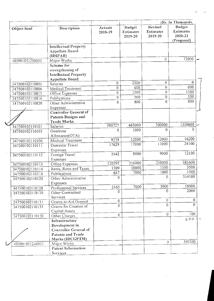(Rs. In Thousands, Budget Revised Budget Actuals Description Object head **Estimates** Estimates **Estimates** 2018-19  $2020 - 21$ 2019-20 2019-20 (Proposed) **Intellectual Property** Appellate Board  $(IDIPAB)$ 73900  $\overline{0}$ 405901051250053 Major Works Scheme for strengthening of **Intellectual Property Appellate Board**  $\overline{0}$  $\frac{1}{2300}$  $\Omega$  $\overline{0}$ Salaries 347500102110801  $\overline{600}$  $\overline{0}$  $\overline{0}$ 600 347500102110806 Medical Treatment 1500  $\overline{0}$  $\overline{1500}$  $\overline{0}$ Office Expenses 347500102110813  $\overline{500}$  $\overline{0}$ 500  $\overline{0}$ 347500102110816 Publications  $800$  $\overline{0}$  $\overline{0}$ 800 Other Administrative 347500102110820 Expenses **Controller General of** Patents Designs and **Trade Marks** 463000 700000 1350600 595727 347500102110101 **Salaries**  $\Omega$  $1000$  $\theta$  $\overline{0}$ 347500102110103 Overtime Allowance(OTA) 12000 16200 9339 12000 347500102110106 Medical Treatment 24100 17000 17000 17629 Domestic Travel 347500102110111 Expenses  $9000$ 12100  $9000$ 5542 Foreign Travel 347500102110112 **Expenses** 583600 210000 316000 120292 Office Expenses 347500102110113 3500 10000 1500 1309 Rents, Rates and Taxes 347500102110114  $1000$ 1500 7000  $647$ 347500102110116 Publications 314100 0  $\overline{0}$ 347500102110120 Other Administrative Expenses 18000 7000 3000 2163 Professional Services 347500102110128 2000  $\theta$  $\mathbf{0}$ Other Contractual 347500102110130 **Services**  $\overline{0}$  $\boldsymbol{0}$  $\overline{0}$ Grants-in-Aid General 347500102110131  $\overline{0}$  $\overline{0}$  $\theta$ Grants for Creation of 347500102110135 Capital Assets  $100$  $\overline{0}$  $\overline{0}$ 347500102110150 Other Charges  $2.30 - 1$ Infrastructure Development in **Controller General of** Patents and Trade Marks (IDCGPTM) 592300  $\theta$ Major Works 405901051240053 Patent Information **Services** 

 $\overline{18}$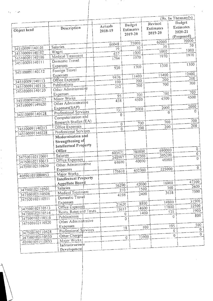|                                    |                               |                    |                                |                                 | (Rs. In Thousands)                           |
|------------------------------------|-------------------------------|--------------------|--------------------------------|---------------------------------|----------------------------------------------|
| Object head                        | Description                   | Actuals<br>2018-19 | Budget<br>Estimates<br>2019-20 | Revised<br>Estimates<br>2019-20 | Budget<br>Estimates<br>2020-21<br>(Proposed) |
|                                    |                               |                    |                                | 62000                           | 70000                                        |
|                                    | Salaries                      | 66048              | 75000<br>30                    | 30                              | 30                                           |
| 345100091140101<br>345100091140102 | Wages                         | 19                 | 1000                           | 1000                            | 1000                                         |
| 345100091140106                    | Medical Treatment             | 637                | 1970                           | 1970                            | 1970                                         |
|                                    | Domestic Travel               | 1794               |                                |                                 |                                              |
| 345100091140111                    | Expenses                      |                    | 1300                           | 1300                            | 1300                                         |
| 345100091140112                    | Foreign Travel                | 930                |                                |                                 |                                              |
|                                    | Expenses                      |                    | 11400                          | 11400                           | 12400                                        |
| 345100091140113                    | Office Expenses               | 9476               | 200                            | 200                             | 200                                          |
| 345100091140116                    | Publications                  | 190                | 700                            | 700                             | 700                                          |
| 345100091140120                    | Other Administrative          | 252                |                                |                                 |                                              |
|                                    | Expenses                      | 95                 | 700                            | 700                             | 700                                          |
| 345100091140127                    | Minor Works                   |                    | 4500                           | 4500                            | 4500                                         |
| 345100091149620                    | Other Administrative          | 438                |                                |                                 |                                              |
|                                    | Expenses(SAP)                 | 731                | 2000                           | 2000                            | 2000                                         |
| 345100091140128                    | Professional Services         | 0                  |                                | $\theta$                        | 0                                            |
|                                    | Computerisation and           |                    |                                |                                 |                                              |
|                                    | Research Studies (EA)         |                    | 700<br>$\theta$                | 700                             | 700                                          |
| 345100091140213                    | Office Expenses               |                    | 200<br>$\overline{0}$          | 200                             | 200                                          |
| 345100091140228                    | Professional Services         |                    |                                |                                 |                                              |
|                                    | Modernisation and             |                    |                                |                                 |                                              |
|                                    | Strengthening of              |                    |                                |                                 |                                              |
|                                    | <b>Intellectual Property</b>  |                    |                                |                                 |                                              |
|                                    | Office                        | 603471             | 780000                         | 690000                          | $\overline{0}$                               |
| 347500102110601                    | Salaries                      | 240597             | 305200                         | 305200                          | $\overline{0}$                               |
| 347500102110613                    | Office Expenses               | 64690              | 40000                          | 40000                           | $\overline{0}$                               |
| 347500102110620                    | Other Administrative          |                    |                                |                                 | $\overline{0}$                               |
|                                    | Expenses                      | 175610             | 652300                         | 225000                          |                                              |
| 405901051080053                    | Major Works                   |                    |                                |                                 |                                              |
|                                    | Intellectual Property         |                    |                                |                                 | 47300                                        |
|                                    | Appellate Board               | 16290              |                                | 16900<br>42000                  | 2600                                         |
| 347500102110501                    | Salaries                      |                    | 210                            | 1500                            | 360<br>7500                                  |
| 347500102110506                    | Medical Treatment             |                    | 4198                           | 2400                            | 3638                                         |
| 347500102110511                    | Domestic Travel               |                    |                                |                                 | 31500                                        |
|                                    | Expenses                      |                    | $\frac{1}{21620}$              | 8800                            | 14800<br>22500                               |
| 347500102110513                    | Office Expenses               |                    | 15637                          | 14600                           | 17800<br>1900                                |
| 347500102110514                    | Rents, Rates and Taxes        |                    | 0                              | 1400                            | 535<br>800                                   |
| 347500102110516                    | Publications                  |                    | $\theta$                       |                                 | $\Omega$                                     |
| 347500102110520                    | Other Administrative          |                    |                                |                                 | 500                                          |
|                                    | Expenses                      |                    | 18                             | 100                             | 195<br>$\boldsymbol{0}$                      |
| 347500102110528                    | Professional Services         |                    |                                |                                 | $\theta$<br>$\overline{c}$                   |
| 347500102110550                    | Other Charges                 |                    | $\theta$                       | 73900                           | $\theta$                                     |
| 405901051110053                    | Major Works<br>Infrastructure |                    |                                |                                 |                                              |
|                                    | Development                   |                    |                                |                                 |                                              |
|                                    |                               |                    |                                |                                 |                                              |

ta 1997<br>Santa Parti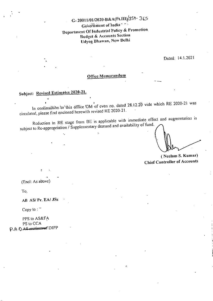G-20011/01/2020-B&A(Pt.HI)/354-365 Government of Indian Department Of Industrial Policy & Promotion Budget & Accounts Section Udyog Bhawan, New Delhi

Dated: 14.1.2021

### Office Memorandum

## Subject: Revised Estimates 2020-21.

In continuation to this office OM of even no. dated 28.12.20 vide which RE 2020-21 was circulated, please find enclosed herewith revised RE 2020-21.

Reduction in RE stage from BE is applicable with immediate effect and augmentation is subject to Re-appropriation / Supplementary demand and availability of fund.

ć.

(Neelam S. Kumar) **Chief Controller of Accounts** 

(Encl: As above)

To.

All AS/Pr. EA/ JSs

Copy to:  $\overline{ }$ 

PPS to AS&FA PS to CCA P.A.O All ecclinized DIPP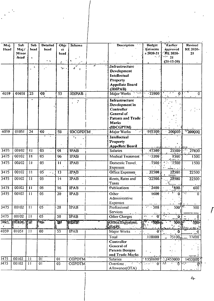| Maj.              | Sub                | Sub             | <b>Detailed</b>                                | Obje            | <b>Scheme</b>    |               | Description                              | Budget                                                                 | Earlier                                | <b>Revised</b>     |
|-------------------|--------------------|-----------------|------------------------------------------------|-----------------|------------------|---------------|------------------------------------------|------------------------------------------------------------------------|----------------------------------------|--------------------|
| Head              | Maj./              | head            | head                                           | ct              |                  |               |                                          | <b>Estimate</b>                                                        | approved                               | <b>RE 2020-</b>    |
|                   | Minor<br>head      |                 |                                                | head            |                  |               |                                          | $s$ 2020-21<br>$\mathcal{L}_{\mathbf{z}}$ , $\mathcal{L}_{\mathbf{z}}$ | <b><i>ERE 2020-</i></b><br>$\cdots$ 21 | 21                 |
|                   |                    | ٠               | ۰ę.                                            |                 |                  |               |                                          |                                                                        | $(21 - 12 - 20)$                       |                    |
|                   |                    |                 |                                                | ÷.              | $\mathbf{h}^L$   | $\mathcal{L}$ | <b><i><u>Infrastructure</u></i></b>      |                                                                        |                                        |                    |
|                   |                    | ۶.              |                                                | Ъπ.             | ď.<br>$\epsilon$ |               | <b>Development</b>                       |                                                                        |                                        |                    |
|                   |                    |                 |                                                |                 |                  |               | Intellectual                             |                                                                        |                                        |                    |
|                   |                    |                 |                                                |                 |                  |               | Property                                 |                                                                        |                                        |                    |
|                   |                    |                 |                                                |                 |                  |               | <b>Appellate Board</b>                   |                                                                        |                                        |                    |
|                   |                    |                 |                                                |                 |                  |               | (IDIPAB)                                 |                                                                        |                                        |                    |
| 4059              | 01051              | 25              | 00                                             | 53              | <b>IDIPAB</b>    |               | $\sim$ 10 $\mu$<br>Major Works           | $-73900$                                                               | $\boldsymbol{\theta}$                  | 0                  |
|                   |                    |                 |                                                |                 |                  |               |                                          |                                                                        |                                        |                    |
|                   |                    |                 |                                                |                 |                  |               | <b>Infrastructure</b>                    |                                                                        |                                        |                    |
|                   |                    |                 |                                                |                 |                  |               | Development in<br>Controller             |                                                                        |                                        |                    |
|                   |                    |                 |                                                |                 |                  |               | General of                               |                                                                        |                                        |                    |
|                   |                    |                 |                                                |                 |                  |               | Patents and Trade                        |                                                                        |                                        |                    |
|                   |                    |                 |                                                |                 |                  |               | <b>Marks</b>                             |                                                                        |                                        |                    |
|                   |                    |                 |                                                |                 |                  |               | (IDCGPTM)                                |                                                                        |                                        |                    |
| 4059              | 01051              | 24              | $\overline{00}$                                | 53              | <b>IDCGPDTM</b>  |               | Major Works                              | $-592300$                                                              | 200000                                 | $\sqrt{200000}$    |
|                   |                    |                 |                                                |                 | ٠.               |               | Intellectual                             |                                                                        |                                        |                    |
|                   |                    |                 |                                                |                 |                  |               | <b>Property</b>                          |                                                                        |                                        |                    |
|                   |                    |                 |                                                |                 |                  |               | <b>Appellate Board</b>                   |                                                                        |                                        |                    |
| 3475              | 00102              | $\overline{11}$ | $\overline{05}$                                | 01              | <b>TPAB</b>      |               | Salaries                                 | 47300                                                                  | 25500                                  | <u>д.</u><br>27800 |
| 3475              | $-00102$           | $\overline{11}$ | $\overline{05}$                                | 06              | <b>IPAB</b>      |               | <b>Medical Treatment</b>                 | $-3200$                                                                | 1500                                   | 1500               |
| 3475              | 00102              | 11              | $\overline{05}$                                | $\overline{11}$ | <b>IPAB</b>      |               | Domestic Travel                          | 7500                                                                   | $-1500$                                | 1500               |
|                   |                    |                 |                                                |                 |                  |               | <b>Expenses</b>                          |                                                                        |                                        |                    |
| 3475              | 00102              | $\overline{11}$ | $\overline{05}$<br>$\mathcal{P}^{\mathcal{P}}$ | 13              | <b>IPAB</b>      |               | Office Expenses                          | 32500                                                                  | 22500                                  | 22500              |
| 3475              | 00102              | $\overline{11}$ | $\overline{05}$                                | $\overline{14}$ | IPAB             |               | Rents, Rates and                         | $-22500$                                                               | 22500                                  | 22500              |
|                   |                    |                 |                                                |                 |                  |               | Taxes                                    |                                                                        |                                        |                    |
| 3475              | 00102              | $\overline{11}$ | 05                                             | $\overline{16}$ | <b>IPAB</b>      |               | Publications                             | .1400                                                                  | 7800                                   | 600                |
| 3475              | 00102              | 11              | $\overline{05}$                                | 20              | <b>IPAB</b>      |               | Other                                    | 1600                                                                   |                                        | ٠ž<br>0            |
|                   |                    |                 |                                                |                 |                  |               | Administrative                           |                                                                        |                                        |                    |
|                   |                    |                 |                                                |                 |                  |               | Expenses                                 |                                                                        |                                        |                    |
| 3475              | 00102              | 11              | 05                                             | $\overline{28}$ | <b>JPAB</b>      |               | Professional                             | 500<br>$\mathcal{L}^{\mathcal{A}}$                                     | 5001                                   | 500                |
|                   |                    |                 |                                                |                 |                  |               | Services                                 |                                                                        |                                        |                    |
| 3475              | 00102              | 11              | $0\overline{5}$                                | 50              | <b>IPAB</b>      |               | Other Charges                            | ч.<br>$\overline{0}$                                                   | . O                                    |                    |
| 3475              | <b>00102, 1771</b> |                 | 196                                            | ïØ              | (FRAVE)          |               | Office Expendses                         | 150046                                                                 | 50055                                  | 3001               |
|                   |                    |                 |                                                |                 |                  |               | (SAP)                                    |                                                                        |                                        |                    |
| 4059              | 01051              | 11              | $00\,$                                         | 53              | <b>IPAB</b>      |               | Major Works                              | 0                                                                      |                                        |                    |
|                   |                    |                 |                                                |                 |                  |               | Total                                    | .118000                                                                | 75100 <sub>4</sub>                     | 77400              |
|                   |                    |                 |                                                |                 |                  |               | Controller                               |                                                                        |                                        |                    |
|                   |                    |                 |                                                |                 |                  |               | <b>General</b> of                        |                                                                        |                                        |                    |
|                   |                    |                 |                                                |                 |                  |               | <b>Patents Designs</b>                   |                                                                        |                                        |                    |
|                   |                    |                 |                                                |                 |                  |               | and Trade Marks                          |                                                                        |                                        |                    |
| $\overline{3475}$ | 00102              | $\mathbf{1}$    | 01                                             | 01              | <b>CGPDTM</b>    |               | <b>Salaries</b>                          | $-1350600$                                                             | 71453000                               | 1453000            |
| 3475              | 00102              | 11              | 01                                             | 03              | CGPDTM           |               | Overtime.<br>$\mathcal{L}_{\mathcal{A}}$ | an Albanya                                                             | 0111<br>ਨਾਲ                            |                    |
|                   |                    |                 |                                                |                 |                  |               | Allowance(OTA)                           | $\mathcal{L}^{\text{max}}$                                             |                                        |                    |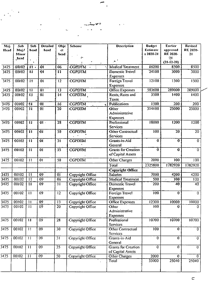| Maj.             | Sub      | $\overline{\mathbf{Sub}}$ | <b>Detailed</b>     | Obje            | Scheme                | <b>Description</b>             | <b>Budget</b>  | <b>Eartier</b>          | Revised         |
|------------------|----------|---------------------------|---------------------|-----------------|-----------------------|--------------------------------|----------------|-------------------------|-----------------|
| <b>H</b> cad     | Maj.     | head                      | head                | ct              |                       |                                | Estimate       | approved                | <b>RE 2020-</b> |
|                  | Minor    |                           |                     | head            | FA.                   |                                | s 2020-21      | <b>RE 2020-</b>         | 21              |
|                  | head.    |                           |                     |                 |                       | ۸                              |                | -21<br>$(21 - 12 - 20)$ |                 |
| 3475             | 00102    | 11.                       | $\overline{0}$      | 06              | CGPDTM ·<br>$\bullet$ | <b>Medical Treatment</b>       | 16200          | 8500                    | 8500            |
| 3475             | 00102    | 11                        | $\ddot{\mathbf{0}}$ | $\mathbf{1}$    | <b>CGPDTM</b>         | Domestic Travel                | 24100          | 3000                    | 3000            |
|                  |          |                           |                     |                 |                       | <b>Expenses</b>                |                |                         |                 |
| 3475             | 00102    | $\bf{11}$                 | 0 <sub>1</sub>      | 12              | <b>CGPDTM</b>         | Foreign Travel                 | 1500<br>12100  |                         | 1500            |
|                  |          |                           |                     |                 |                       | <b>Expenses</b>                |                |                         |                 |
| 3475             | 00102    | 11                        | 01                  | 13              | <b>CGPDTM</b>         | <b>Office Expenses</b>         | 583600         | 289000                  | 289000          |
| 3475             | 00102    | $\overline{1}$            | $\overline{01}$     | $\overline{14}$ | CGPDTM                | Rents, Rates and               | 3500           | 1400                    | 1400            |
|                  |          |                           |                     |                 |                       | Taxes                          |                |                         |                 |
| 3475             | 00102    | -11                       | 0 <sub>1</sub>      | .16             | <b>CGPDTM</b>         | Publications                   | 1500           | 200                     | 200             |
| 3475             | 00102    | JJ.                       | $\overline{01}$     | $\overline{20}$ | <b>CGPDTM</b>         | Other                          | 314100         | 25000                   | 25000           |
|                  |          |                           |                     |                 |                       | Administrative                 |                |                         |                 |
|                  |          |                           |                     |                 |                       | <b>Expenses</b>                |                |                         |                 |
| 3475             | 00102    | $\overline{11}$           | 01                  | 28              | <b>CGPDTM</b>         | Professional                   | 18000          | 1200                    | 1200            |
|                  |          |                           |                     |                 |                       | Services                       |                |                         |                 |
| 3475             | 00102    | $\overline{\mathbf{u}}$   | $\overline{0}$      | 30              | <b>CGPDTM</b>         | Other Contractual              | 100            | $\overline{20}$         | $\overline{20}$ |
|                  |          |                           |                     |                 |                       | <b>Services</b>                |                |                         |                 |
| 3475             | 00102    | 11                        | $\overline{0}$      | 31              | <b>CGPDIM</b>         | Grants-in-Aid                  | $\bf{0}$       | $\overline{0}$          | $\overline{0}$  |
|                  |          |                           |                     |                 |                       | General                        |                |                         |                 |
| 3475             | $-00102$ | $-11$                     | $\overline{01}$     | 35              | <b>CGPDTM</b>         | <b>Grants for Creation</b>     | 0              | $\mathbf 0$             | $\mathbf 0$     |
|                  |          |                           |                     |                 |                       | of Capital Assets              |                |                         |                 |
| 3475             | 00102    | $\overline{11}$           | 0 <sub>1</sub>      | 50              | <b>CGPDTM</b>         | Other Charges                  | 2000           | 100                     | 100             |
|                  |          |                           |                     |                 |                       | Total                          | 2325800        | 1782920                 | 1782920         |
|                  |          |                           |                     |                 |                       | Copyright Office               |                |                         |                 |
| 3475             | 00102    | $\overline{11}$           | $\overline{09}$     | 0 <sub>1</sub>  | Copyright Office      | Salaries.                      | 7000           | 4200                    | 4200            |
| 3475             | 00102    | 11                        | $\overline{09}$     | 06              | Copyright Office      | <b>Medical Treatment</b>       | 500            | 100                     | 100             |
| 3475             | 00102    | $\overline{11}$           | 09                  | $\overline{11}$ | Copyright Office      | Domestic Travel                | 200            | 40                      | 40              |
|                  |          |                           |                     |                 |                       | Expenses                       |                |                         |                 |
| 3475             | 00102    | $\overline{11}$           | $\overline{09}$     | $\overline{12}$ | Copyright Office      | Foreign Travel                 | 100            | $\bf{0}$                | $\theta$        |
|                  |          |                           |                     |                 |                       | Expenses                       |                |                         |                 |
| 3475             | 00102    | 11                        | $\overline{09}$     | 13              | Copyright Office      | <b>Office Expenses</b>         | 12300          | 10000                   | 10000           |
| 3475             | 00102    | 11                        | 09                  | 20              | Copyright Office      | Other                          | 100            | $\mathbf 0$             | $\mathbf 0$     |
|                  |          |                           |                     |                 |                       | Administrative                 |                |                         |                 |
|                  |          |                           |                     |                 |                       | <b>Expenses</b>                |                |                         |                 |
| 3475             | 00102    | $\overline{11}$           | 09                  | 28              | Copyright Office      | Professional                   | 10700          | 10700                   | 10700           |
|                  |          |                           |                     |                 |                       | Services                       |                |                         |                 |
| 3475             | 00102    | 11                        | $\overline{09}$     | 30              | Copyright Office      | Other Contractual              | 100            | $\theta$                | $\mathbf{0}$    |
| 3475             | 00102    | $\overline{11}$           | $\overline{09}$     | $\overline{31}$ |                       | Services                       | 0              | $\Omega$                |                 |
|                  |          |                           |                     |                 | Copyright Office      | Grants-in-Aid                  |                |                         | 0               |
| 3475             | 00102    | $\overline{11}$           | $\overline{09}$     | $\overline{35}$ | Copyright Office      | General<br>Grants for Creation | $\overline{0}$ | $\theta$                | $\mathbf 0$     |
|                  |          |                           |                     |                 |                       | of Capital Assets              |                |                         |                 |
| $\frac{1}{3475}$ | 00102    | $\overline{11}$           | $\overline{09}$     | 50              | Copyright Office      | Other Charges                  | 2000           | $\mathbf{0}$            |                 |
|                  |          |                           |                     |                 |                       | Total                          | 33000          | 25040                   | 25040           |
|                  |          |                           |                     |                 | $\mathbf{r}$ .        |                                |                |                         |                 |
|                  |          |                           |                     |                 |                       |                                |                |                         |                 |

 $\mathbf{I}$ 

دو ديو

Ļ,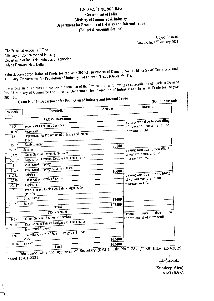

### F.No.G-23011/03/2020-B&A **Government of India** Ministry of Commerce & Industry Department for Promotion of Industry and Internal Trade (Budget & Accounts Section)

Udyog Bhawan. New Delhi, 13<sup>th</sup> January, 2021

The Principal Accounts Office Ministry of Commerce and Industry, Department of Industrial Policy and Promotion Udyog Bhawan, New Delhi.

Subject: Re-appropriation of funds for the year 2020-21 in respect of Demand No 11- Ministry of Commerce and Industry, Department for Promotion of Industry and Internal Trade (Order No. 21).

The undersigned is directed to convey the sanction of the President to the following re-appropriation of funds in Demand No. 11-Ministry of Commerce and Industry, Department for Promotion of Industry and Internal Trade for the year 2020-21.

Grant No. 11- Department for Promotion of Industry and Internal Trade

(Rs. in thousands)

|                    |                                                            |        | <b>Reasons</b>                     |  |  |
|--------------------|------------------------------------------------------------|--------|------------------------------------|--|--|
| Numeric            | Description                                                | Amount |                                    |  |  |
| Code               |                                                            |        |                                    |  |  |
|                    | FROM(Revenue)                                              |        | Saving was due to non filing       |  |  |
| $\overline{3451}$  | Secretariat-Economic Services                              |        | of vacant posts and no             |  |  |
| 00.090             | Secretariat                                                |        | increase in DA.                    |  |  |
| 35                 | Department for Promotion of Industry and Internal<br>Trade |        |                                    |  |  |
| 35.02              | Establishment                                              |        |                                    |  |  |
| 35.02.01           | Salaries                                                   | 80000  | Saving was due to non filing       |  |  |
| 3475               | Other General Economic Services                            |        | of vacant posts and no             |  |  |
| 00.102             | Regulation of Patents Designs and Trade marks              |        | increase in DA.                    |  |  |
| $\mathbf{1}$       | <b>Intellectual Property</b>                               |        |                                    |  |  |
| 11.05              | Intellectual Property Appellate Board                      | 10000  |                                    |  |  |
| 11.05.01           | Salaries                                                   |        | Saving was due to non filing       |  |  |
| 2070               | Other Administrative Services                              |        | of vacant posts and no             |  |  |
| 00.117             | Explosives                                                 |        | increase in DA.                    |  |  |
| 01                 | Petroleum and Explosives Safety Organization<br>(PESO)     |        |                                    |  |  |
| 01.02              | Establishment                                              | 12400  |                                    |  |  |
| 01.02.01           | Salaries                                                   | 102400 |                                    |  |  |
|                    | Total                                                      |        |                                    |  |  |
|                    | TO(Revenue)                                                |        | to.<br>due<br>was<br><b>Excess</b> |  |  |
| 3475               | Other General Economic Services                            |        | appointment of new staff .         |  |  |
| $\frac{1}{00}$ 102 | Regulation of Patents Designs and Trade marks              |        |                                    |  |  |
| Ū                  | Intellectual Property                                      |        |                                    |  |  |
| $\overline{11.01}$ | Controller General of Patents Designs and Trade            |        |                                    |  |  |
|                    | Marks                                                      | 102400 |                                    |  |  |
| 11.01.01           | Salaries<br>Total                                          | 102400 |                                    |  |  |
|                    |                                                            |        |                                    |  |  |

This issue with the approval of Secretary (DPIIT), File No.P-23/4/2020-B&A (E-43829) dated-11-01-2021.

une

(Sundeep Hira)  $AAO(B&A)$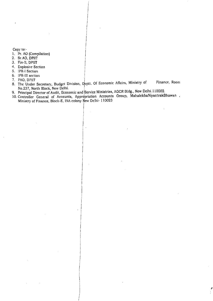Copy to:-

- 1. Pr. AO (Compilation)
- 2. Sr.AO, DPIIT
- 3. Fin.lI, DPIIT
- 4. Explosive Section
- 5. IPR.I Section
- 6. IPR.1I1section
- 7. PAO, DPIIT
- 8. FOC, DERTES. Recretary, Budget Division, Deptt. Of Economic Affairs, Ministry of Finance, Room No.237, North Block, New Delhi. I
- 9. Principal Director of Audit, Economic and Service Ministries, AGCR Bldg., New Delhi. I Iood

)

10. Controller General of Accounts, Appropriation Accounts Group, MahalekhaNiyantrakBhawan , Ministry of Finance, Block-E, INA colony New Delhi- 110023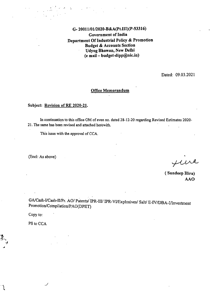### G- 200lll0112020-B&A(Pt.II1)(P-S3316) Government of India Department Of Industrial Policy & Promotion Budget & Accounts Section Udyog Bhawan, New Delhi  $(e \text{ mail} - \text{budget-dipp@nic.in})$

Dated: 09.03.2021

#### Office Memorandum  $\ddot{\phantom{a}}$

### Subject: Revision of RE 2020-21.

In continuation to this office OM of even no. dated 28-12-20 regarding Revised Estimates 2020- 21. The same has been revised and attached herewith.

This issue with the approval of CCA.

 $\cdot$  ,

. ,':

(Encl: As above)

funa

( Sundeep Hira) AAO

GA/Cash-I/Cash-II/Pr. AO/ Patents/ IPR-III/ IPR-VI/Explosives/ Salt/ E-IV/DBA-I/Investment Promotion/Compilation/PAO(DPIIT)

Copy to:

PS to CCA

 $\mathfrak{z}.$  $\cdot$  .

••